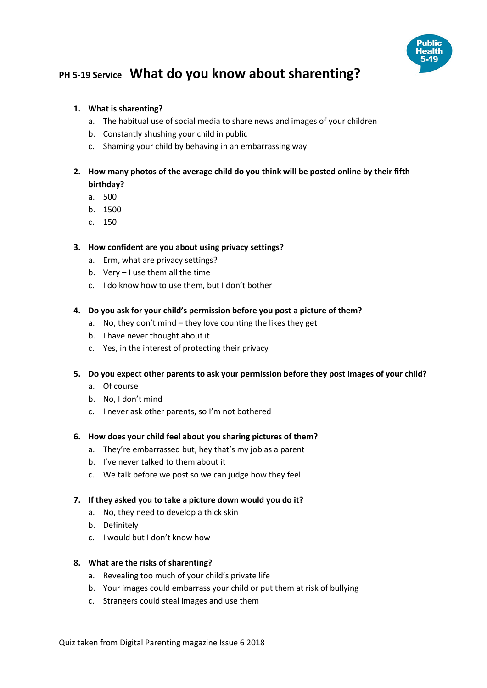

# **PH 5-19 Service What do you know about sharenting?**

#### **1. What is sharenting?**

- a. The habitual use of social media to share news and images of your children
- b. Constantly shushing your child in public
- c. Shaming your child by behaving in an embarrassing way
- **2. How many photos of the average child do you think will be posted online by their fifth birthday?**
	- a. 500
	- b. 1500
	- c. 150

### **3. How confident are you about using privacy settings?**

- a. Erm, what are privacy settings?
- b. Very I use them all the time
- c. I do know how to use them, but I don't bother
- **4. Do you ask for your child's permission before you post a picture of them?**
	- a. No, they don't mind they love counting the likes they get
	- b. I have never thought about it
	- c. Yes, in the interest of protecting their privacy
- **5. Do you expect other parents to ask your permission before they post images of your child?**
	- a. Of course
	- b. No, I don't mind
	- c. I never ask other parents, so I'm not bothered

#### **6. How does your child feel about you sharing pictures of them?**

- a. They're embarrassed but, hey that's my job as a parent
- b. I've never talked to them about it
- c. We talk before we post so we can judge how they feel
- **7. If they asked you to take a picture down would you do it?**
	- a. No, they need to develop a thick skin
	- b. Definitely
	- c. I would but I don't know how

#### **8. What are the risks of sharenting?**

- a. Revealing too much of your child's private life
- b. Your images could embarrass your child or put them at risk of bullying
- c. Strangers could steal images and use them